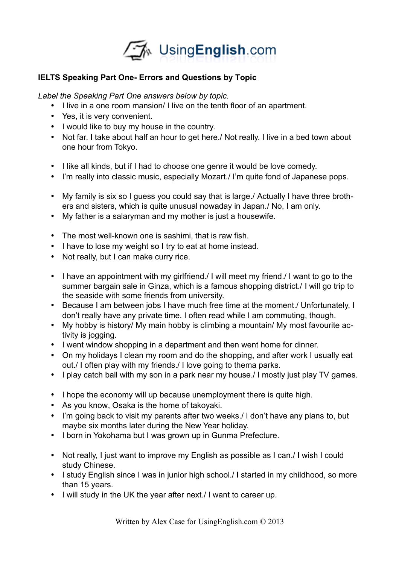

# **IELTS Speaking Part One- Errors and Questions by Topic**

*Label the Speaking Part One answers below by topic.*

- I live in a one room mansion/ I live on the tenth floor of an apartment.
- Yes, it is very convenient.
- I would like to buy my house in the country.
- Not far. I take about half an hour to get here./ Not really. I live in a bed town about one hour from Tokyo.
- I like all kinds, but if I had to choose one genre it would be love comedy.
- I'm really into classic music, especially Mozart./ I'm quite fond of Japanese pops.
- My family is six so I quess you could say that is large./ Actually I have three brothers and sisters, which is quite unusual nowaday in Japan./ No, I am only.
- My father is a salaryman and my mother is just a housewife.
- The most well-known one is sashimi, that is raw fish.
- I have to lose my weight so I try to eat at home instead.
- Not really, but I can make curry rice.
- I have an appointment with my girlfriend. I will meet my friend. I want to go to the summer bargain sale in Ginza, which is a famous shopping district./ I will go trip to the seaside with some friends from university.
- Because I am between jobs I have much free time at the moment./ Unfortunately, I don't really have any private time. I often read while I am commuting, though.
- My hobby is history/ My main hobby is climbing a mountain/ My most favourite activity is jogging.
- I went window shopping in a department and then went home for dinner.
- On my holidays I clean my room and do the shopping, and after work I usually eat out./ I often play with my friends./ I love going to thema parks.
- I play catch ball with my son in a park near my house. I mostly just play TV games.
- I hope the economy will up because unemployment there is quite high.
- As you know, Osaka is the home of takoyaki.
- I'm going back to visit my parents after two weeks./ I don't have any plans to, but maybe six months later during the New Year holiday.
- I born in Yokohama but I was grown up in Gunma Prefecture.
- Not really, I just want to improve my English as possible as I can./ I wish I could study Chinese.
- I study English since I was in junior high school. I started in my childhood, so more than 15 years.
- I will study in the UK the year after next./ I want to career up.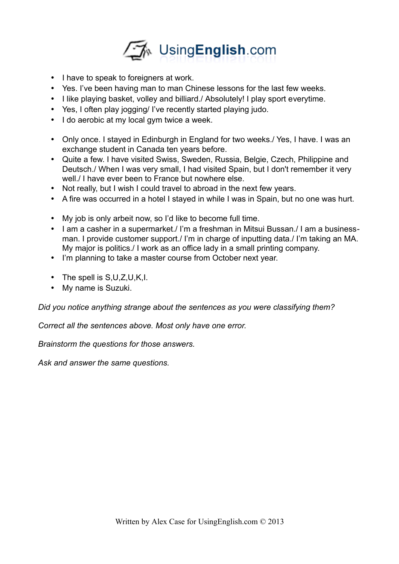

- I have to speak to foreigners at work.
- Yes. I've been having man to man Chinese lessons for the last few weeks.
- I like playing basket, volley and billiard./ Absolutely! I play sport everytime.
- Yes, I often play jogging/ I've recently started playing judo.
- I do aerobic at my local gym twice a week.
- Only once. I stayed in Edinburgh in England for two weeks./ Yes, I have. I was an exchange student in Canada ten years before.
- Quite a few. I have visited Swiss, Sweden, Russia, Belgie, Czech, Philippine and Deutsch./ When I was very small, I had visited Spain, but I don't remember it very well./ I have ever been to France but nowhere else.
- Not really, but I wish I could travel to abroad in the next few years.
- A fire was occurred in a hotel I stayed in while I was in Spain, but no one was hurt.
- My job is only arbeit now, so I'd like to become full time.
- I am a casher in a supermarket./ I'm a freshman in Mitsui Bussan./ I am a businessman. I provide customer support./ I'm in charge of inputting data./ I'm taking an MA. My major is politics./ I work as an office lady in a small printing company.
- I'm planning to take a master course from October next year.
- The spell is  $S, U, Z, U, K, I$ .
- My name is Suzuki.

*Did you notice anything strange about the sentences as you were classifying them?*

*Correct all the sentences above. Most only have one error.*

*Brainstorm the questions for those answers.*

*Ask and answer the same questions.*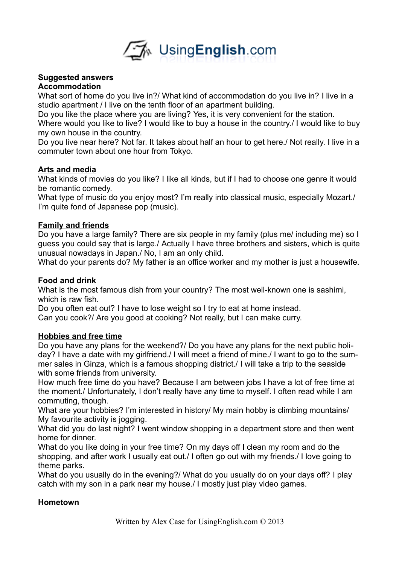

#### **Suggested answers Accommodation**

What sort of home do you live in?/ What kind of accommodation do you live in? I live in a studio apartment / I live on the tenth floor of an apartment building.

Do you like the place where you are living? Yes, it is very convenient for the station.

Where would you like to live? I would like to buy a house in the country. I would like to buy my own house in the country.

Do you live near here? Not far. It takes about half an hour to get here./ Not really. I live in a commuter town about one hour from Tokyo.

#### **Arts and media**

What kinds of movies do you like? I like all kinds, but if I had to choose one genre it would be romantic comedy.

What type of music do you enjoy most? I'm really into classical music, especially Mozart./ I'm quite fond of Japanese pop (music).

## **Family and friends**

Do you have a large family? There are six people in my family (plus me/ including me) so I guess you could say that is large./ Actually I have three brothers and sisters, which is quite unusual nowadays in Japan./ No, I am an only child.

What do your parents do? My father is an office worker and my mother is just a housewife.

## **Food and drink**

What is the most famous dish from your country? The most well-known one is sashimi, which is raw fish.

Do you often eat out? I have to lose weight so I try to eat at home instead. Can you cook?/ Are you good at cooking? Not really, but I can make curry.

## **Hobbies and free time**

Do you have any plans for the weekend?/ Do you have any plans for the next public holiday? I have a date with my girlfriend./ I will meet a friend of mine./ I want to go to the summer sales in Ginza, which is a famous shopping district./ I will take a trip to the seaside with some friends from university.

How much free time do you have? Because I am between jobs I have a lot of free time at the moment./ Unfortunately, I don't really have any time to myself. I often read while I am commuting, though.

What are your hobbies? I'm interested in history/ My main hobby is climbing mountains/ My favourite activity is jogging.

What did you do last night? I went window shopping in a department store and then went home for dinner.

What do you like doing in your free time? On my days off I clean my room and do the shopping, and after work I usually eat out./ I often go out with my friends./ I love going to theme parks.

What do you usually do in the evening?/ What do you usually do on your days off? I play catch with my son in a park near my house./ I mostly just play video games.

## **Hometown**